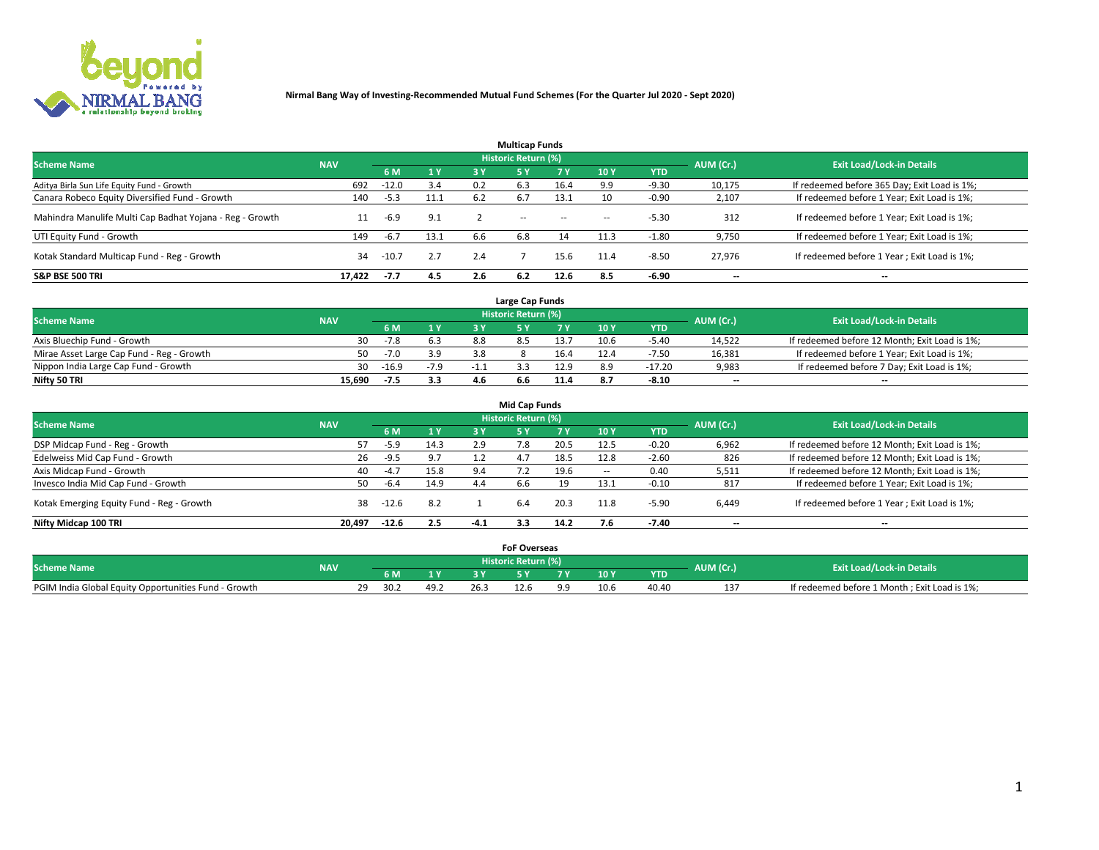

|                                                          |            |         |           |     | <b>Multicap Funds</b> |           |                          |            |           |                                              |
|----------------------------------------------------------|------------|---------|-----------|-----|-----------------------|-----------|--------------------------|------------|-----------|----------------------------------------------|
| <b>Scheme Name</b>                                       | <b>NAV</b> |         |           |     | Historic Return (%)   |           |                          |            | AUM (Cr.) | <b>Exit Load/Lock-in Details</b>             |
|                                                          |            | 6 M     | <b>1Y</b> | 3 Y | <b>5Y</b>             | <b>7Y</b> | 10Y                      | <b>YTD</b> |           |                                              |
| Aditya Birla Sun Life Equity Fund - Growth               | 692        | $-12.0$ | 3.4       | 0.2 | 6.3                   | 16.4      | 9.9                      | $-9.30$    | 10,175    | If redeemed before 365 Day; Exit Load is 1%; |
| Canara Robeco Equity Diversified Fund - Growth           | 140        | $-5.3$  | 11.1      | 6.2 | 6.7                   | 13.1      | 10                       | -0.90      | 2,107     | If redeemed before 1 Year; Exit Load is 1%;  |
| Mahindra Manulife Multi Cap Badhat Yojana - Reg - Growth | 11         | -6.9    | 9.1       |     | $\sim$ $-$            | $\sim$    | $\overline{\phantom{a}}$ | $-5.30$    | 312       | If redeemed before 1 Year; Exit Load is 1%;  |
| UTI Equity Fund - Growth                                 | 149        | $-6.7$  | 13.1      | 6.6 | 6.8                   | 14        | 11.3                     | $-1.80$    | 9,750     | If redeemed before 1 Year; Exit Load is 1%;  |
| Kotak Standard Multicap Fund - Reg - Growth              | 34         | $-10.7$ | 2.7       | 2.4 |                       | 15.6      | 11.4                     | $-8.50$    | 27.976    | If redeemed before 1 Year; Exit Load is 1%;  |
| <b>S&amp;P BSE 500 TRI</b>                               | 17.422     | $-7.7$  | 4.5       | 2.6 |                       | 12.6      | 8.5                      | $-6.90$    | --        | $- -$                                        |

|                                           |            |         |        |     | Large Cap Funds     |      |      |            |                          |                                               |
|-------------------------------------------|------------|---------|--------|-----|---------------------|------|------|------------|--------------------------|-----------------------------------------------|
| <b>Scheme Name</b>                        | <b>NAV</b> |         |        |     | Historic Return (%) |      |      |            | AUM (Cr.)                | <b>Exit Load/Lock-in Details</b>              |
|                                           |            | 6 M     | 4V     |     |                     |      | 10 Y | <b>YTD</b> |                          |                                               |
| Axis Bluechip Fund - Growth               | 30         | $-7.8$  |        | 8.8 |                     | 13.7 | 10.6 | $-5.40$    | 14,522                   | If redeemed before 12 Month; Exit Load is 1%; |
| Mirae Asset Large Cap Fund - Reg - Growth | 50         | $-7.0$  | 3.9    |     |                     | 16.4 |      | $-7.50$    | 16,381                   | If redeemed before 1 Year; Exit Load is 1%;   |
| Nippon India Large Cap Fund - Growth      | 30         | $-16.9$ | $-7.9$ |     |                     | 12.9 |      | $-17.20$   | 9,983                    | If redeemed before 7 Day; Exit Load is 1%;    |
| Nifty 50 TRI                              | 15.690     | -7.5    | 3.3    | 4.6 | b.b                 |      |      | $-8.10$    | $\overline{\phantom{a}}$ | $- -$                                         |

| <b>Mid Cap Funds</b>                      |            |         |      |        |                     |      |            |            |                          |                                               |  |  |  |
|-------------------------------------------|------------|---------|------|--------|---------------------|------|------------|------------|--------------------------|-----------------------------------------------|--|--|--|
| <b>Scheme Name</b>                        | <b>NAV</b> |         |      |        | Historic Return (%) |      |            |            | AUM (Cr.)                | <b>Exit Load/Lock-in Details</b>              |  |  |  |
|                                           |            | 6 M     | 1Y   | 3 Y    |                     | 7 V. | <b>10Y</b> | <b>YTD</b> |                          |                                               |  |  |  |
| DSP Midcap Fund - Reg - Growth            |            | $-5.9$  | 14.3 | 2.9    | 7.8                 | 20.5 | 12.5       | $-0.20$    | 6,962                    | If redeemed before 12 Month; Exit Load is 1%; |  |  |  |
| Edelweiss Mid Cap Fund - Growth           | 26         | $-9.5$  | 9.7  | 1.2    | 4.7                 | 18.5 | 12.8       | $-2.60$    | 826                      | If redeemed before 12 Month; Exit Load is 1%; |  |  |  |
| Axis Midcap Fund - Growth                 | 40         | $-4.7$  | 15.8 | 9.4    |                     | 19.6 |            | 0.40       | 5,511                    | If redeemed before 12 Month; Exit Load is 1%; |  |  |  |
| Invesco India Mid Cap Fund - Growth       | 50         | $-6.4$  | 14.9 | 4.4    | 6.6                 | 19   | 13.1       | $-0.10$    | 817                      | If redeemed before 1 Year; Exit Load is 1%;   |  |  |  |
| Kotak Emerging Equity Fund - Reg - Growth | 38         | -12.6   | 8.2  |        | 6.4                 | 20.3 | 11.8       | -5.90      | 6,449                    | If redeemed before 1 Year; Exit Load is 1%;   |  |  |  |
| Nifty Midcap 100 TRI                      | 20.497     | $-12.6$ | 2.5  | $-4.1$ | 3.3                 | 14.2 |            | $-7.40$    | $\overline{\phantom{a}}$ | $- -$                                         |  |  |  |

|                                                      |            |                         |      |      | <b>FoF Overseas</b>        |            |      |            |           |                                              |
|------------------------------------------------------|------------|-------------------------|------|------|----------------------------|------------|------|------------|-----------|----------------------------------------------|
| <b>Scheme Name</b>                                   | <b>NAV</b> |                         |      |      | <b>Historic Return (%)</b> |            |      |            | AUM (Cr.) | <b>Exit Load/Lock-in Details</b>             |
|                                                      |            | 6 M                     |      |      |                            |            | 10Y  | <b>YTD</b> |           |                                              |
| PGIM India Global Equity Opportunities Fund - Growth |            | າດ<br>30.2<br><u>_ </u> | 49.4 | 26.5 | 12.6                       | $^{\circ}$ | 10.6 | 40.40      |           | If redeemed before 1 Month; Exit Load is 1%; |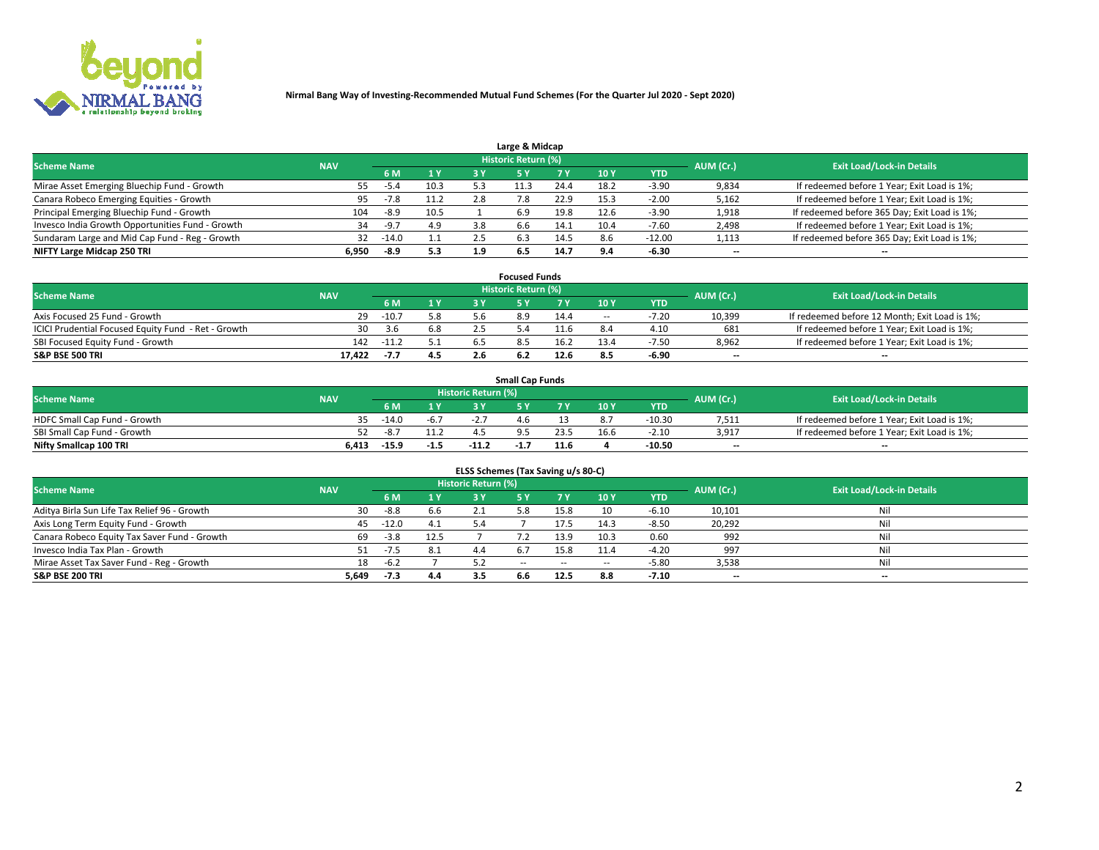

| Large & Midcap                                   |            |         |         |     |                     |      |            |            |                          |                                              |  |  |  |
|--------------------------------------------------|------------|---------|---------|-----|---------------------|------|------------|------------|--------------------------|----------------------------------------------|--|--|--|
| <b>Scheme Name</b>                               | <b>NAV</b> |         |         |     | Historic Return (%) |      |            |            | AUM (Cr.)                | <b>Exit Load/Lock-in Details</b>             |  |  |  |
|                                                  |            | 6 M     | 1 Y     | 3 Y |                     | 7 V  | 10Y        | <b>YTD</b> |                          |                                              |  |  |  |
| Mirae Asset Emerging Bluechip Fund - Growth      | 55         | -5.4    | 10.3    |     |                     | 24.4 | 18.2       | $-3.90$    | 9,834                    | If redeemed before 1 Year; Exit Load is 1%;  |  |  |  |
| Canara Robeco Emerging Equities - Growth         | 95         | $-7.8$  | 11.2    | 2.8 | 7.8                 | 22.9 | 15.3       | $-2.00$    | 5,162                    | If redeemed before 1 Year; Exit Load is 1%;  |  |  |  |
| Principal Emerging Bluechip Fund - Growth        | 104        | -8.9    | 10.5    |     | 6.9                 | 19.8 | 12.6       | $-3.90$    | 1,918                    | If redeemed before 365 Day; Exit Load is 1%; |  |  |  |
| Invesco India Growth Opportunities Fund - Growth | 34         | $-9.7$  | 4.9     | 3.8 | 6.6                 | 14.1 | 10.4       | $-7.60$    | 2,498                    | If redeemed before 1 Year; Exit Load is 1%;  |  |  |  |
| Sundaram Large and Mid Cap Fund - Reg - Growth   | 32         | $-14.0$ | $1.1\,$ |     | 6.3                 | 14.5 | 8.6        | $-12.00$   | 1,113                    | If redeemed before 365 Day; Exit Load is 1%; |  |  |  |
| NIFTY Large Midcap 250 TRI                       | 6.950      | -8.9    | 5.3     |     | 6.5                 | 14.7 | <b>Q</b> A | -6.30      | $\overline{\phantom{a}}$ | $- -$                                        |  |  |  |

|                                                     |            |         |     | <b>Focused Funds</b>       |      |        |            |                          |                                               |
|-----------------------------------------------------|------------|---------|-----|----------------------------|------|--------|------------|--------------------------|-----------------------------------------------|
| <b>Scheme Name</b>                                  | <b>NAV</b> |         |     | <b>Historic Return (%)</b> |      |        |            | AUM (Cr.)                | <b>Exit Load/Lock-in Details</b>              |
|                                                     |            | 6 M     | 1 Y |                            |      | 10 Y   | <b>YTD</b> |                          |                                               |
| Axis Focused 25 Fund - Growth                       | 29         | $-10.7$ | 5.8 |                            | 14.4 | $\sim$ | $-7.20$    | 10,399                   | If redeemed before 12 Month; Exit Load is 1%; |
| ICICI Prudential Focused Equity Fund - Ret - Growth | 30         | 3.6     | 6.8 |                            | L1.6 |        | 4.10       | 681                      | If redeemed before 1 Year; Exit Load is 1%;   |
| SBI Focused Equity Fund - Growth                    | 142        | $-11.2$ |     |                            | 16.2 | 13.4   | $-7.50$    | 8,962                    | If redeemed before 1 Year; Exit Load is 1%;   |
| S&P BSE 500 TRI                                     | 17.422     | -7.7    | 4.5 |                            | 12.6 |        | -6.90      | $\overline{\phantom{a}}$ | $- -$                                         |

| <b>Small Cap Funds</b>       |            |                                  |        |         |      |      |                 |            |       |                                             |  |  |  |
|------------------------------|------------|----------------------------------|--------|---------|------|------|-----------------|------------|-------|---------------------------------------------|--|--|--|
| <b>Scheme Name</b>           | <b>NAV</b> | Historic Return (%)<br>AUM (Cr.) |        |         |      |      |                 |            |       | <b>Exit Load/Lock-in Details</b>            |  |  |  |
|                              |            | 6 M                              |        |         |      |      | 10 <sub>Y</sub> | <b>YTD</b> |       |                                             |  |  |  |
| HDFC Small Cap Fund - Growth |            | $-14.0$                          | $-6.7$ |         |      |      |                 | $-10.30$   | 7,511 | If redeemed before 1 Year; Exit Load is 1%; |  |  |  |
| SBI Small Cap Fund - Growth  |            | -8.1                             |        |         |      |      | 16.6            | $-2.10$    | 3,917 | If redeemed before 1 Year; Exit Load is 1%; |  |  |  |
| Nifty Smallcap 100 TRI       | 6.413      | -15.9                            | $-1.5$ | $-11.2$ | -1., | 11.6 |                 | -10.50     | $- -$ | $- -$                                       |  |  |  |

| ELSS Schemes (Tax Saving u/s 80-C)           |            |         |      |                            |            |        |                          |            |                          |                                  |  |  |  |
|----------------------------------------------|------------|---------|------|----------------------------|------------|--------|--------------------------|------------|--------------------------|----------------------------------|--|--|--|
| <b>Scheme Name</b>                           | <b>NAV</b> |         |      | <b>Historic Return (%)</b> |            |        |                          |            | AUM (Cr.)                | <b>Exit Load/Lock-in Details</b> |  |  |  |
|                                              |            | 6 M     | 1Y   | 3 Y                        | <b>5Y</b>  | 7 Y    | 10Y                      | <b>YTD</b> |                          |                                  |  |  |  |
| Aditya Birla Sun Life Tax Relief 96 - Growth | 30         | -8.8    | 6.6  |                            |            | 15.8   | 10                       | $-6.10$    | 10,101                   | Nil                              |  |  |  |
| Axis Long Term Equity Fund - Growth          | 45         | $-12.0$ | 4.1  | 5.4                        |            | 17.5   | 14.3                     | $-8.50$    | 20,292                   | Nil                              |  |  |  |
| Canara Robeco Equity Tax Saver Fund - Growth | 69         | $-3.8$  | 12.5 |                            |            | 13.9   | 10.3                     | 0.60       | 992                      | Nil                              |  |  |  |
| Invesco India Tax Plan - Growth              | 51         | -7.5    | 8.1  | 44                         | 6.7        | 15.8   | 11.4                     | $-4.20$    | 997                      | Nil                              |  |  |  |
| Mirae Asset Tax Saver Fund - Reg - Growth    | 18         | $-6.2$  |      | 52                         | $\sim$ $-$ | $\sim$ | $\overline{\phantom{a}}$ | $-5.80$    | 3,538                    | Nil                              |  |  |  |
| S&P BSE 200 TRI                              | 5,649      | $-7.3$  | 4.4  |                            | 6.6        | 12.5   | 8.8                      | $-7.10$    | $\overline{\phantom{a}}$ | $- -$                            |  |  |  |

# 2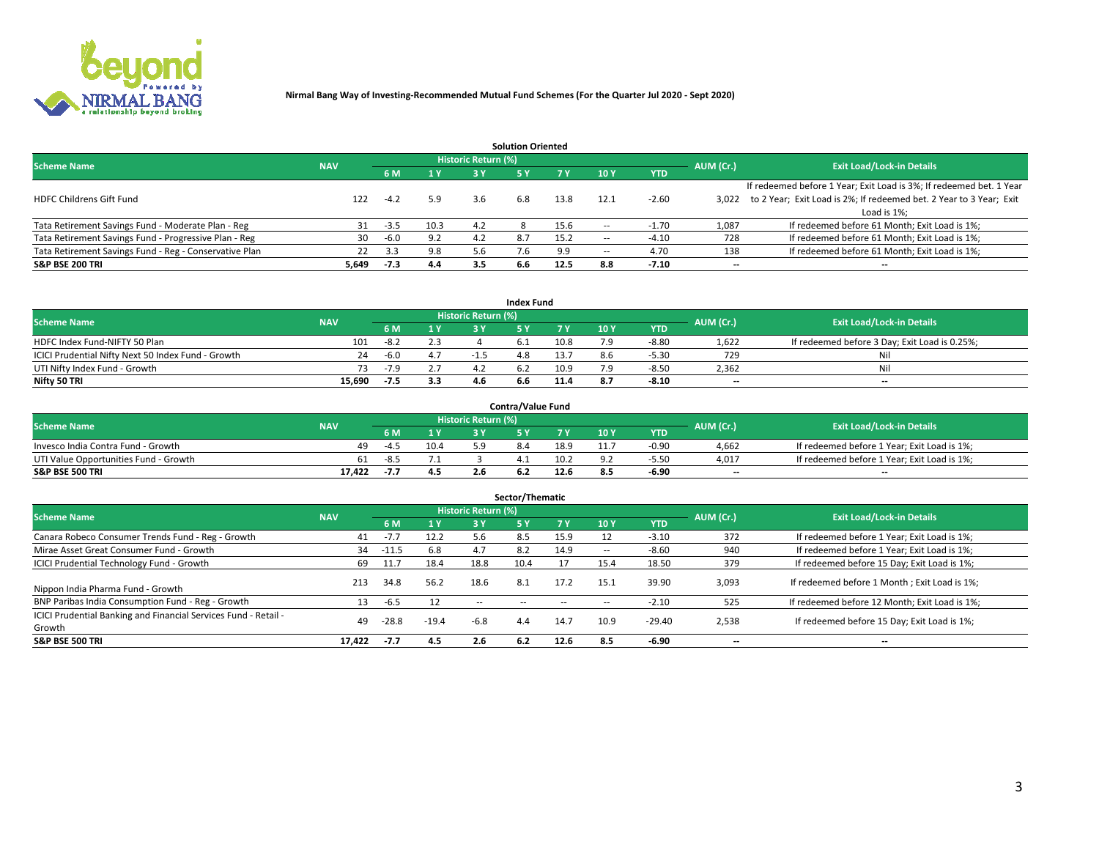

|                                                        |            |            |      |                            | <b>Solution Oriented</b> |      |                          |            |                          |                                                                     |
|--------------------------------------------------------|------------|------------|------|----------------------------|--------------------------|------|--------------------------|------------|--------------------------|---------------------------------------------------------------------|
| <b>Scheme Name</b>                                     | <b>NAV</b> |            |      | <b>Historic Return (%)</b> |                          |      |                          |            | AUM (Cr.)                | <b>Exit Load/Lock-in Details</b>                                    |
|                                                        |            | <b>6 M</b> | 1 Y  | 3 Y                        |                          |      | 10Y                      | <b>YTD</b> |                          |                                                                     |
|                                                        |            |            |      |                            |                          |      |                          |            |                          | If redeemed before 1 Year; Exit Load is 3%; If redeemed bet. 1 Year |
| <b>HDFC Childrens Gift Fund</b>                        | 122        | $-4.2$     | 5.9  | 3.6                        | 6.8                      | 13.8 | 12.1                     | $-2.60$    | 3.022                    | to 2 Year; Exit Load is 2%; If redeemed bet. 2 Year to 3 Year; Exit |
|                                                        |            |            |      |                            |                          |      |                          |            |                          | Load is 1%;                                                         |
| Tata Retirement Savings Fund - Moderate Plan - Reg     | 31         | $-3.5$     | 10.3 | 4.2                        |                          | 15.6 | --                       | 1.70       | 1,087                    | If redeemed before 61 Month; Exit Load is 1%;                       |
| Tata Retirement Savings Fund - Progressive Plan - Reg  | 30         | $-6.0$     | 9.2  | 4.2                        | 8.7                      | 15.2 | $\overline{\phantom{a}}$ | $-4.10$    | 728                      | If redeemed before 61 Month; Exit Load is 1%;                       |
| Tata Retirement Savings Fund - Reg - Conservative Plan | 22         | 3.3        | 9.8  |                            |                          | 9.9  | --                       | 4.70       | 138                      | If redeemed before 61 Month; Exit Load is 1%;                       |
| S&P BSE 200 TRI                                        | 5,649      | $-7.3$     | 4.4  | 3.5                        | 6.6                      | 12.5 | 8.8                      | $-7.10$    | $\overline{\phantom{a}}$ | $- -$                                                               |

|                                                    |            |        |              |                            | <b>Index Fund</b> |      |      |            |                          |                                               |
|----------------------------------------------------|------------|--------|--------------|----------------------------|-------------------|------|------|------------|--------------------------|-----------------------------------------------|
| <b>Scheme Name</b>                                 | <b>NAV</b> |        |              | <b>Historic Return (%)</b> |                   |      |      |            | AUM (Cr.)                | <b>Exit Load/Lock-in Details</b>              |
|                                                    |            |        | $\sqrt{1}$ Y | 2 V                        |                   | 7 V  | 10 Y | <b>YTD</b> |                          |                                               |
| HDFC Index Fund-NIFTY 50 Plan                      | 101        | $-8.2$ | 2.3          |                            |                   | 10.8 |      | $-8.80$    | 1,622                    | If redeemed before 3 Day; Exit Load is 0.25%; |
| ICICI Prudential Nifty Next 50 Index Fund - Growth | 24         | $-6.0$ |              |                            |                   | '3.7 |      | $-5.30$    | 729                      | Nil                                           |
| UTI Nifty Index Fund - Growth                      | 73.        | $-7.9$ |              |                            |                   | 10.9 |      | $-8.5C$    | 2,362                    | Nil                                           |
| Nifty 50 TRI                                       | 15.690     | $-7.5$ | 3.3          |                            | 6.b               | 11.4 |      | $-8.10$    | $\overline{\phantom{a}}$ | $- -$                                         |

|                                       |            |        |      |                            | <b>Contra/Value Fund</b> |      |     |            |                          |                                             |
|---------------------------------------|------------|--------|------|----------------------------|--------------------------|------|-----|------------|--------------------------|---------------------------------------------|
| <b>Scheme Name</b>                    | <b>NAV</b> |        |      | <b>Historic Return (%)</b> |                          |      |     |            | AUM (Cr.)                | <b>Exit Load/Lock-in Details</b>            |
|                                       |            |        | 1 V  |                            |                          | 7 V  | 10Y | <b>YTD</b> |                          |                                             |
| Invesco India Contra Fund - Growth    | 49.        | $-4.5$ | 10.4 |                            |                          | 18.9 |     | $-0.90$    | 4,662                    | If redeemed before 1 Year; Exit Load is 1%; |
| UTI Value Opportunities Fund - Growth | 61         | $-8.5$ | 7.⊥  |                            |                          | 10.2 |     | -5.50      | 4,017                    | If redeemed before 1 Year; Exit Load is 1%; |
| <b>S&amp;P BSE 500 TRI</b>            | 17.422     | $-I.$  | 4.5  |                            |                          | 12.6 |     | $-6.90$    | $\overline{\phantom{a}}$ | $- -$                                       |

|                                                                           |            |         |                  |                     | Sector/Thematic |           |                          |            |           |                                               |
|---------------------------------------------------------------------------|------------|---------|------------------|---------------------|-----------------|-----------|--------------------------|------------|-----------|-----------------------------------------------|
| <b>Scheme Name</b>                                                        | <b>NAV</b> |         |                  | Historic Return (%) |                 |           |                          |            | AUM (Cr.) | <b>Exit Load/Lock-in Details</b>              |
|                                                                           |            | 6 M     | $\overline{1}$ Y | 3 Y                 | <b>5Y</b>       | <b>7Y</b> | 10Y                      | <b>YTD</b> |           |                                               |
| Canara Robeco Consumer Trends Fund - Reg - Growth                         | 41         | $-7.7$  | 12.2             | 5.6                 | 8.5             | 15.9      |                          | $-3.10$    | 372       | If redeemed before 1 Year; Exit Load is 1%;   |
| Mirae Asset Great Consumer Fund - Growth                                  | 34         | -11.5   | 6.8              | 4.7                 |                 | 14.9      | $\overline{\phantom{a}}$ | $-8.60$    | 940       | If redeemed before 1 Year; Exit Load is 1%;   |
| <b>ICICI Prudential Technology Fund - Growth</b>                          | 69         | 11.7    | 18.4             | 18.8                | 10.4            |           | 15.4                     | 18.50      | 379       | If redeemed before 15 Day; Exit Load is 1%;   |
| Nippon India Pharma Fund - Growth                                         | 213        | 34.8    | 56.2             | 18.6                | 8.1             | 17.2      | 15.1                     | 39.90      | 3,093     | If redeemed before 1 Month; Exit Load is 1%;  |
| BNP Paribas India Consumption Fund - Reg - Growth                         | 13         | -6.5    | 12               | $\sim$ $\sim$       | $\sim$ $-$      | $\sim$    | $\sim$                   | $-2.10$    | 525       | If redeemed before 12 Month; Exit Load is 1%; |
| ICICI Prudential Banking and Financial Services Fund - Retail -<br>Growth | 49         | $-28.8$ | $-19.4$          | $-6.8$              | 4.4             | 14.7      | 10.9                     | $-29.40$   | 2,538     | If redeemed before 15 Day; Exit Load is 1%;   |
| <b>S&amp;P BSE 500 TRI</b>                                                | 17.422     | $-7.7$  | 4.5              | 2.6                 | 6.2             | 12.6      | 8.5                      | $-6.90$    | --        | $- -$                                         |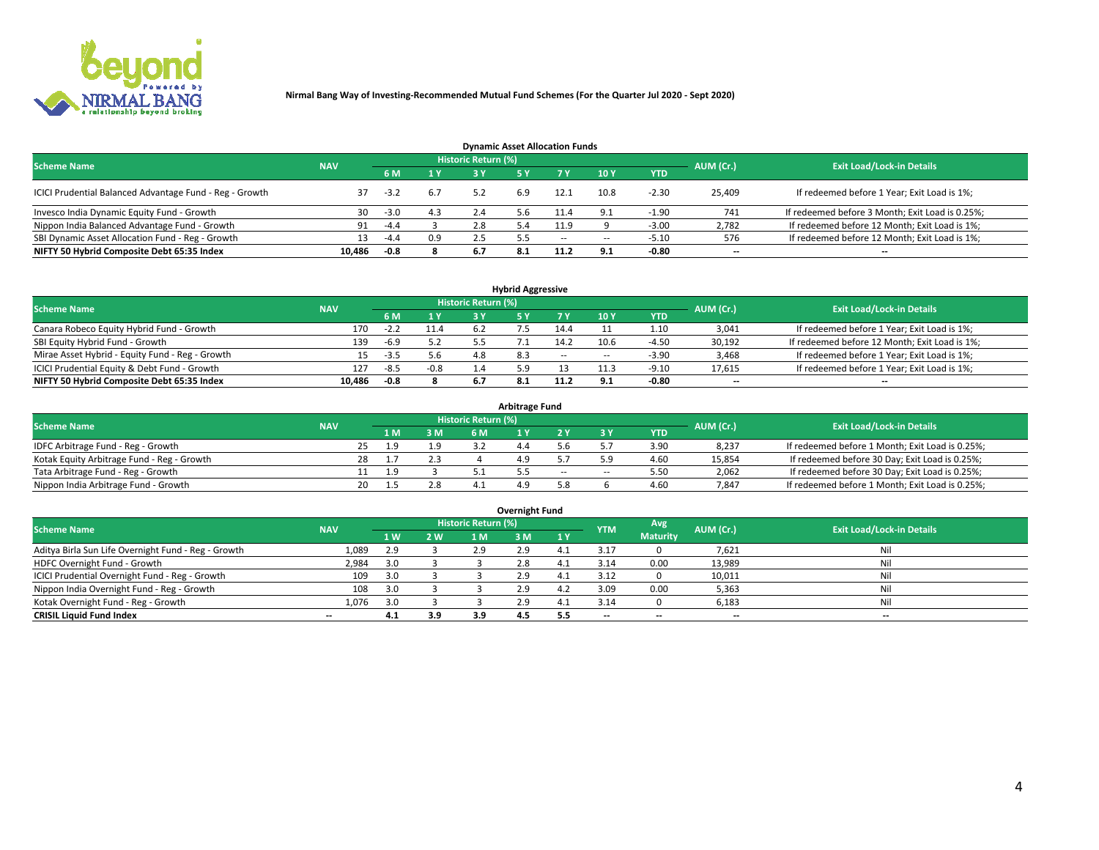

| <b>Dynamic Asset Allocation Funds</b>                   |            |        |     |                            |     |        |            |            |                          |                                                 |  |  |  |  |
|---------------------------------------------------------|------------|--------|-----|----------------------------|-----|--------|------------|------------|--------------------------|-------------------------------------------------|--|--|--|--|
| <b>Scheme Name</b>                                      | <b>NAV</b> |        |     | <b>Historic Return (%)</b> |     |        |            |            | AUM (Cr.)                | <b>Exit Load/Lock-in Details</b>                |  |  |  |  |
|                                                         |            |        | 1 Y | 73 V                       |     |        | 10Y        | <b>YTD</b> |                          |                                                 |  |  |  |  |
| ICICI Prudential Balanced Advantage Fund - Reg - Growth |            | $-3.2$ | 6.7 | 52                         | 6.9 | 12.1   | 10.8       | $-2.30$    | 25,409                   | If redeemed before 1 Year; Exit Load is 1%;     |  |  |  |  |
| Invesco India Dynamic Equity Fund - Growth              | 30         | $-3.0$ | 4.3 | 2.4                        |     | 11.4   | $\Omega$ . | -1.90      | 741                      | If redeemed before 3 Month; Exit Load is 0.25%; |  |  |  |  |
| Nippon India Balanced Advantage Fund - Growth           | 91         | $-4.4$ |     | 2.8                        |     | 11.9   |            | $-3.00$    | 2,782                    | If redeemed before 12 Month; Exit Load is 1%;   |  |  |  |  |
| SBI Dynamic Asset Allocation Fund - Reg - Growth        |            | $-4.4$ | 0.9 | 2.5                        |     | $\sim$ | --         | -5.10      | 576                      | If redeemed before 12 Month; Exit Load is 1%;   |  |  |  |  |
| NIFTY 50 Hybrid Composite Debt 65:35 Index              | 10.486     | -0.8   |     | 6.7                        |     | 11.2   | 9.1        | $-0.80$    | $\overline{\phantom{a}}$ | $- -$                                           |  |  |  |  |

| <b>Hybrid Aggressive</b>                        |                                                       |        |                         |     |  |            |            |            |        |                                               |  |  |  |  |  |
|-------------------------------------------------|-------------------------------------------------------|--------|-------------------------|-----|--|------------|------------|------------|--------|-----------------------------------------------|--|--|--|--|--|
| <b>Scheme Name</b>                              | <b>Historic Return (%)</b><br>AUM (Cr.)<br><b>NAV</b> |        |                         |     |  |            |            |            |        |                                               |  |  |  |  |  |
|                                                 |                                                       |        | $\mathbf{A} \mathbf{v}$ | R V |  |            | <b>10Y</b> | <b>YTD</b> |        | <b>Exit Load/Lock-in Details</b>              |  |  |  |  |  |
| Canara Robeco Equity Hybrid Fund - Growth       | 170                                                   | $-2.2$ | 11.4                    |     |  | 14.4       |            | 1.10       | 3,041  | If redeemed before 1 Year; Exit Load is 1%;   |  |  |  |  |  |
| SBI Equity Hybrid Fund - Growth                 | 139                                                   | $-6.9$ |                         |     |  | 14.2       | 10.6       | $-4.50$    | 30,192 | If redeemed before 12 Month; Exit Load is 1%; |  |  |  |  |  |
| Mirae Asset Hybrid - Equity Fund - Reg - Growth |                                                       | $-3.5$ | 5.6                     | 4.8 |  | $\sim$ $-$ | $\sim$     | $-3.90$    | 3,468  | If redeemed before 1 Year; Exit Load is 1%;   |  |  |  |  |  |
| ICICI Prudential Equity & Debt Fund - Growth    | 127                                                   | $-8.5$ | $-0.8$                  |     |  |            |            | $-9.10$    | 17,615 | If redeemed before 1 Year; Exit Load is 1%;   |  |  |  |  |  |
| NIFTY 50 Hybrid Composite Debt 65:35 Index      | 10.486                                                | -0.8   |                         |     |  |            |            | -0.80      | --     | $- -$                                         |  |  |  |  |  |

| <b>Arbitrage Fund</b>                      |                                                                |    |     |     |  |  |        |        |      |           |                                                 |  |  |  |
|--------------------------------------------|----------------------------------------------------------------|----|-----|-----|--|--|--------|--------|------|-----------|-------------------------------------------------|--|--|--|
|                                            | <b>Historic Return (%)</b><br><b>Scheme Name</b><br><b>NAV</b> |    |     |     |  |  |        |        |      |           |                                                 |  |  |  |
|                                            |                                                                |    | 1 M | 3 M |  |  |        |        | YTD  | AUM (Cr.) | <b>Exit Load/Lock-in Details</b>                |  |  |  |
| IDFC Arbitrage Fund - Reg - Growth         |                                                                |    | Ιq  |     |  |  |        |        | 3.90 | 8,237     | If redeemed before 1 Month; Exit Load is 0.25%; |  |  |  |
| Kotak Equity Arbitrage Fund - Reg - Growth |                                                                | 28 |     | 2.3 |  |  |        |        | 4.60 | 15,854    | If redeemed before 30 Day; Exit Load is 0.25%;  |  |  |  |
| Tata Arbitrage Fund - Reg - Growth         |                                                                |    | L.9 |     |  |  | $\sim$ | $\sim$ | 5.5C | 2,062     | If redeemed before 30 Day; Exit Load is 0.25%;  |  |  |  |
| Nippon India Arbitrage Fund - Growth       |                                                                | 20 |     |     |  |  |        |        | 4.60 | 7.847     | If redeemed before 1 Month; Exit Load is 0.25%; |  |  |  |

| Overnight Fund                                      |            |           |     |                            |     |     |                          |                 |           |                                  |  |  |  |  |
|-----------------------------------------------------|------------|-----------|-----|----------------------------|-----|-----|--------------------------|-----------------|-----------|----------------------------------|--|--|--|--|
| <b>Scheme Name</b>                                  | <b>NAV</b> |           |     | <b>Historic Return (%)</b> |     |     | <b>YTM</b>               | Avg             | AUM (Cr.) | <b>Exit Load/Lock-in Details</b> |  |  |  |  |
|                                                     |            | <b>1W</b> | 2 W | 1 M.                       | 3 M | 1Y  |                          | <b>Maturity</b> |           |                                  |  |  |  |  |
| Aditya Birla Sun Life Overnight Fund - Reg - Growth | 1,089      | 2.9       |     | 2.9                        | 2.9 |     |                          |                 | 7,621     | Nil                              |  |  |  |  |
| HDFC Overnight Fund - Growth                        | 2,984      |           |     |                            | 2.8 |     | 3.14                     | 0.00            | 13,989    | Nil                              |  |  |  |  |
| ICICI Prudential Overnight Fund - Reg - Growth      | 109        |           |     |                            | 2.9 |     | 3.12                     |                 | 10,011    | Nil                              |  |  |  |  |
| Nippon India Overnight Fund - Reg - Growth          | 108        | 3.0       |     |                            | 2.9 | 4.2 | 3.09                     | 0.00            | 5,363     | Nil                              |  |  |  |  |
| Kotak Overnight Fund - Reg - Growth                 | 1,076      |           |     |                            | 2.9 | 4.⊥ | 3.14                     |                 | 6,183     | Nil                              |  |  |  |  |
| <b>CRISIL Liquid Fund Index</b>                     | $- -$      | 4.1       | 3.9 | 3.9                        | 4.5 | 5.5 | $\overline{\phantom{a}}$ | $- -$           | $-$       | --                               |  |  |  |  |

#### **Overnight Fund**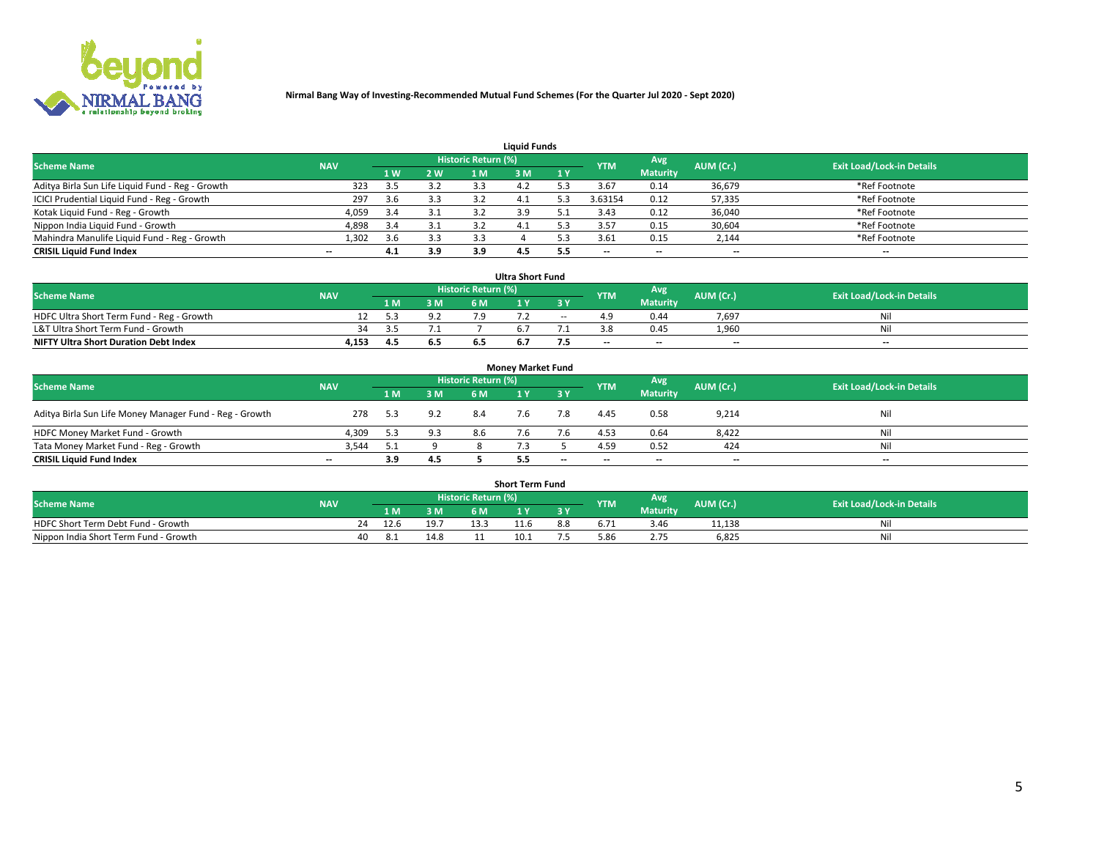

| <b>Liquid Funds</b>                              |                                  |     |     |      |     |     |            |                 |                          |                          |  |  |  |  |
|--------------------------------------------------|----------------------------------|-----|-----|------|-----|-----|------------|-----------------|--------------------------|--------------------------|--|--|--|--|
| <b>Scheme Name</b>                               | <b>Exit Load/Lock-in Details</b> |     |     |      |     |     |            |                 |                          |                          |  |  |  |  |
|                                                  | <b>NAV</b>                       | 1 W | 2 W | 1 M  | ዩ M | 1Y  | <b>YTM</b> | <b>Maturity</b> | AUM (Cr.)                |                          |  |  |  |  |
| Aditya Birla Sun Life Liquid Fund - Reg - Growth | 323                              | 3.5 | 3.2 |      |     |     | 3.67       | 0.14            | 36,679                   | *Ref Footnote            |  |  |  |  |
| ICICI Prudential Liquid Fund - Reg - Growth      | 297                              | 3.6 | 3.3 |      | 4.⊥ |     | 3.63154    | 0.12            | 57,335                   | *Ref Footnote            |  |  |  |  |
| Kotak Liquid Fund - Reg - Growth                 | 4,059                            | 3.4 | 3.1 |      |     |     | 3.43       | 0.12            | 36,040                   | *Ref Footnote            |  |  |  |  |
| Nippon India Liquid Fund - Growth                | 4,898                            | 3.4 | 3.1 | -3.2 | 4.1 |     | 3.57       | 0.15            | 30,604                   | *Ref Footnote            |  |  |  |  |
| Mahindra Manulife Liquid Fund - Reg - Growth     | 1,302                            | 3.6 | 3.3 | 3.3  |     |     | 3.61       | 0.15            | 2,144                    | *Ref Footnote            |  |  |  |  |
| <b>CRISIL Liquid Fund Index</b>                  | $- -$                            | 4.1 | 3.9 | 3.9  | 4.5 | 5.5 | $- -$      | $- -$           | $\overline{\phantom{a}}$ | $\hspace{0.05cm} \cdots$ |  |  |  |  |

| <b>Ultra Short Fund</b>                      |            |     |     |                            |     |        |            |                 |                          |                                  |  |  |  |  |
|----------------------------------------------|------------|-----|-----|----------------------------|-----|--------|------------|-----------------|--------------------------|----------------------------------|--|--|--|--|
| <b>Scheme Name</b>                           | <b>NAV</b> |     |     | <b>Historic Return (%)</b> |     |        | <b>YTM</b> | <b>Avg</b>      | AUM (Cr.)                | <b>Exit Load/Lock-in Details</b> |  |  |  |  |
|                                              |            | 1 M | 3 M | 6 M                        |     | 3 Y    |            | <b>Maturity</b> |                          |                                  |  |  |  |  |
| HDFC Ultra Short Term Fund - Reg - Growth    |            |     | 9.2 |                            |     | $\sim$ |            | 0.44            | 7,697                    | Nil                              |  |  |  |  |
| L&T Ultra Short Term Fund - Growth           | 34         | -25 |     |                            |     |        |            | 0.45            | 1.960                    | Nil                              |  |  |  |  |
| <b>NIFTY Ultra Short Duration Debt Index</b> | 4,153      | 4.5 | 6.5 |                            | b.7 |        | $-$        | $- -$           | $\overline{\phantom{a}}$ | $- -$                            |  |  |  |  |

| <b>Monev Market Fund</b>                                |            |            |      |           |                                  |                          |                          |                 |                          |                          |  |  |  |  |
|---------------------------------------------------------|------------|------------|------|-----------|----------------------------------|--------------------------|--------------------------|-----------------|--------------------------|--------------------------|--|--|--|--|
| <b>Scheme Name</b>                                      | <b>NAV</b> | <b>YTM</b> | Avg. | AUM (Cr.) | <b>Exit Load/Lock-in Details</b> |                          |                          |                 |                          |                          |  |  |  |  |
|                                                         |            | 1 M        | 3 M  | 6 M       |                                  | 3 Y                      |                          | <b>Maturity</b> |                          |                          |  |  |  |  |
| Aditya Birla Sun Life Money Manager Fund - Reg - Growth | 278        | -5.3       | 9.2  | 8.4       |                                  |                          | 4.45                     | 0.58            | 9,214                    | Nil                      |  |  |  |  |
| HDFC Money Market Fund - Growth                         | 4.309      | 5.3        | 9.3  | 8.6       |                                  |                          | 4.53                     | 0.64            | 8,422                    | Nil                      |  |  |  |  |
| Tata Money Market Fund - Reg - Growth                   | 3,544      |            |      |           |                                  |                          | 4.59                     | 0.52            | 424                      | Nil                      |  |  |  |  |
| <b>CRISIL Liquid Fund Index</b>                         | $- -$      | 3.9        | 4.5  |           | 5.5                              | $\overline{\phantom{a}}$ | $\overline{\phantom{a}}$ | $-$             | $\overline{\phantom{a}}$ | $\overline{\phantom{a}}$ |  |  |  |  |

|                                       |            |       |       |                     | <b>Short Term Fund</b> |     |      |                 |           |                                  |
|---------------------------------------|------------|-------|-------|---------------------|------------------------|-----|------|-----------------|-----------|----------------------------------|
| <b>Scheme Name</b>                    | <b>NAV</b> |       |       | Historic Return (%) |                        |     | YTM  | Avg             | AUM (Cr.) | <b>Exit Load/Lock-in Details</b> |
|                                       |            | 1 M . | 3 M   | 6 M                 |                        | 2V  |      | <b>Maturity</b> |           |                                  |
| HDFC Short Term Debt Fund - Growth    | 24         | 12.6  | 19.7  |                     | 11.6                   | 8.8 |      | 3.46            | 11,138    | M                                |
| Nippon India Short Term Fund - Growth | 40         |       | 1 A O |                     | 10.1                   |     | 5.86 |                 | 6,825     | N                                |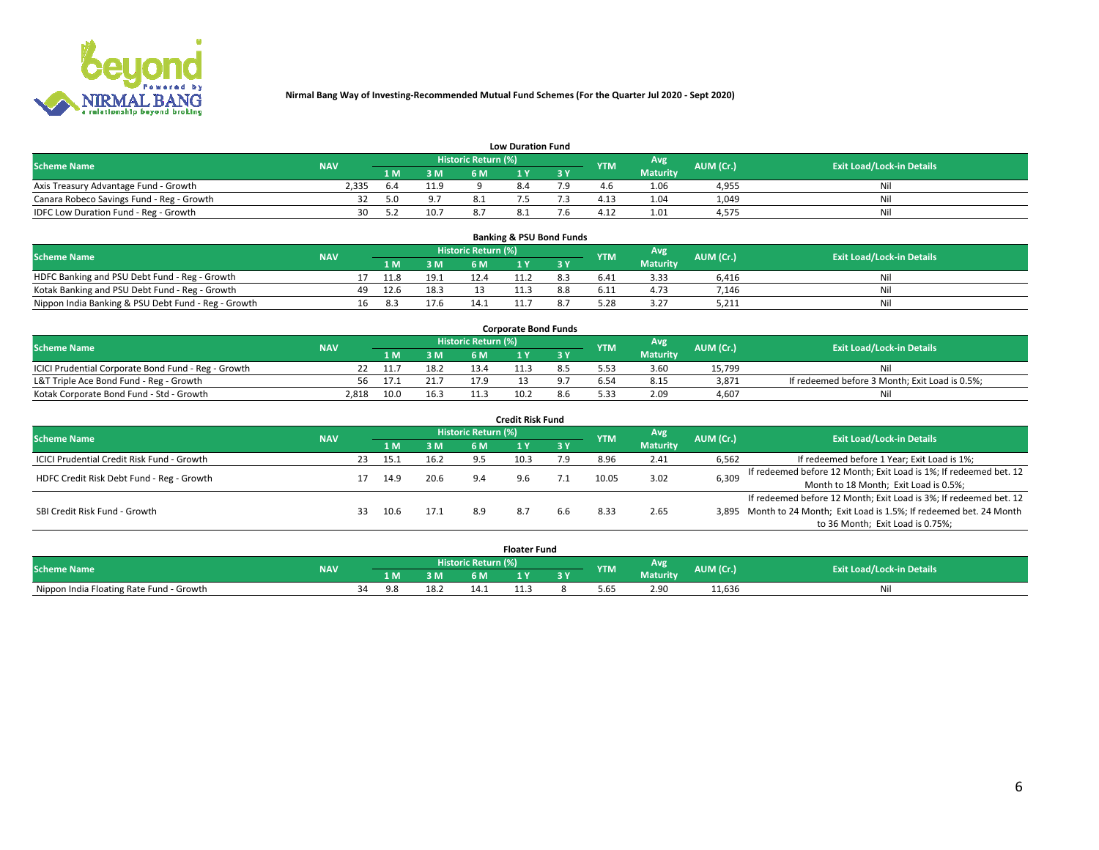

|                                           | <b>Low Duration Fund</b> |     |      |                            |  |     |            |                 |           |                                  |  |  |  |  |  |
|-------------------------------------------|--------------------------|-----|------|----------------------------|--|-----|------------|-----------------|-----------|----------------------------------|--|--|--|--|--|
| <b>Scheme Name</b>                        | <b>NAV</b>               |     |      | <b>Historic Return (%)</b> |  |     | <b>YTM</b> | <b>Avg</b>      | AUM (Cr.) | <b>Exit Load/Lock-in Details</b> |  |  |  |  |  |
|                                           |                          | 1 M | 3 M  |                            |  | 3 Y |            | <b>Maturity</b> |           |                                  |  |  |  |  |  |
| Axis Treasury Advantage Fund - Growth     | 2,335                    |     | 11.9 |                            |  |     |            | 1.06            | 4,955     | Nil                              |  |  |  |  |  |
| Canara Robeco Savings Fund - Reg - Growth |                          | 5.0 | 9.7  |                            |  |     | 4.13       | 1.04            | 1,049     | Nil                              |  |  |  |  |  |
| IDFC Low Duration Fund - Reg - Growth     | 30                       |     | 10.7 |                            |  |     | 4.12       | 1.01            | 4,575     | Nil                              |  |  |  |  |  |

| <b>Banking &amp; PSU Bond Funds</b>                 |            |    |      |      |                            |  |  |            |                 |           |                                  |  |  |  |
|-----------------------------------------------------|------------|----|------|------|----------------------------|--|--|------------|-----------------|-----------|----------------------------------|--|--|--|
| <b>Scheme Name</b>                                  | <b>NAV</b> |    |      |      | <b>Historic Return (%)</b> |  |  | <b>YTM</b> | Avg             | AUM (Cr.) | <b>Exit Load/Lock-in Details</b> |  |  |  |
|                                                     |            |    | 1 M. | 3M   | 6 M                        |  |  |            | <b>Maturity</b> |           |                                  |  |  |  |
| HDFC Banking and PSU Debt Fund - Reg - Growth       |            |    | 11.8 | 19.1 | 12.4                       |  |  | 6.41       | 3.33            | 6.416     | Nil                              |  |  |  |
| Kotak Banking and PSU Debt Fund - Reg - Growth      |            | 49 | 12.6 | 18.3 |                            |  |  | 6.11       | 4.73            | 7.146     | Ni                               |  |  |  |
| Nippon India Banking & PSU Debt Fund - Reg - Growth |            | 16 | 8.3  | 17.6 |                            |  |  | 5.28       | 3.27            | 5,211     | Nil                              |  |  |  |

| <b>Corporate Bond Funds</b>                         |            |      |      |                            |      |  |            |          |           |                                                |  |  |  |  |
|-----------------------------------------------------|------------|------|------|----------------------------|------|--|------------|----------|-----------|------------------------------------------------|--|--|--|--|
| <b>Scheme Name</b>                                  | <b>NAV</b> |      |      | <b>Historic Return (%)</b> |      |  | <b>YTM</b> | Avg      | AUM (Cr.) | <b>Exit Load/Lock-in Details</b>               |  |  |  |  |
|                                                     |            |      | 3 M  | 6 M                        |      |  |            | Maturity |           |                                                |  |  |  |  |
| ICICI Prudential Corporate Bond Fund - Reg - Growth |            |      | 18.2 | 13.4                       |      |  |            | 3.60     | 15.799    | Nil                                            |  |  |  |  |
| L&T Triple Ace Bond Fund - Reg - Growth             | 56         | 17.1 | 21.7 | 17 Q                       |      |  |            | 8.15     | 3,871     | If redeemed before 3 Month; Exit Load is 0.5%; |  |  |  |  |
| Kotak Corporate Bond Fund - Std - Growth            | 2.818      | 10.0 | 16.3 |                            | 10.2 |  | 5.33       | 2.09     | 4.607     | Nil                                            |  |  |  |  |

| <b>Credit Risk Fund</b>                    |            |     |      |      |                            |      |           |            |                 |           |                                                                       |  |  |  |
|--------------------------------------------|------------|-----|------|------|----------------------------|------|-----------|------------|-----------------|-----------|-----------------------------------------------------------------------|--|--|--|
| <b>Scheme Name</b>                         | <b>NAV</b> |     |      |      | <b>Historic Return (%)</b> |      |           | <b>YTM</b> | Avg             | AUM (Cr.) | <b>Exit Load/Lock-in Details</b>                                      |  |  |  |
|                                            |            |     | 1 M  | 3 M  | 6 M                        |      | <b>3Y</b> |            | <b>Maturity</b> |           |                                                                       |  |  |  |
| ICICI Prudential Credit Risk Fund - Growth |            | 23  | 15.1 | 16.2 | 9.5                        | 10.3 | 7.9       | 8.96       | 2.41            | 6,562     | If redeemed before 1 Year; Exit Load is 1%;                           |  |  |  |
| HDFC Credit Risk Debt Fund - Reg - Growth  |            |     | 14.9 | 20.6 | 9.4                        | 9.6  |           | 10.05      | 3.02            | 6,309     | If redeemed before 12 Month; Exit Load is 1%; If redeemed bet. 12     |  |  |  |
|                                            |            |     |      |      |                            |      |           |            |                 |           | Month to 18 Month; Exit Load is 0.5%;                                 |  |  |  |
|                                            |            |     |      |      |                            |      |           |            |                 |           | If redeemed before 12 Month; Exit Load is 3%; If redeemed bet. 12     |  |  |  |
| SBI Credit Risk Fund - Growth              |            | 33. | 10.6 | 17.1 | 8.9                        |      | 6.6       | 8.33       | 2.65            |           | 3,895 Month to 24 Month; Exit Load is 1.5%; If redeemed bet. 24 Month |  |  |  |
|                                            |            |     |      |      |                            |      |           |            |                 |           | to 36 Month; Exit Load is 0.75%;                                      |  |  |  |

| <b>Floater Fund</b>                      |            |    |           |      |                     |   |   |            |                 |           |                                  |  |
|------------------------------------------|------------|----|-----------|------|---------------------|---|---|------------|-----------------|-----------|----------------------------------|--|
| <b>Scheme Name</b>                       | <b>NAV</b> |    |           |      | Historic Return (%) |   |   | <b>YTM</b> | Avg             | AUM (Cr.) | <b>Exit Load/Lock-in Details</b> |  |
|                                          |            |    | 1 M       | ЗM   | 6 M                 | . | . |            | <b>Maturity</b> |           |                                  |  |
| Nippon India Floating Rate Fund - Growth |            | 34 | <b>Qk</b> | ∡.18 | 14.1                |   |   | 5.65       | 2.90            | 11,636    | NL                               |  |